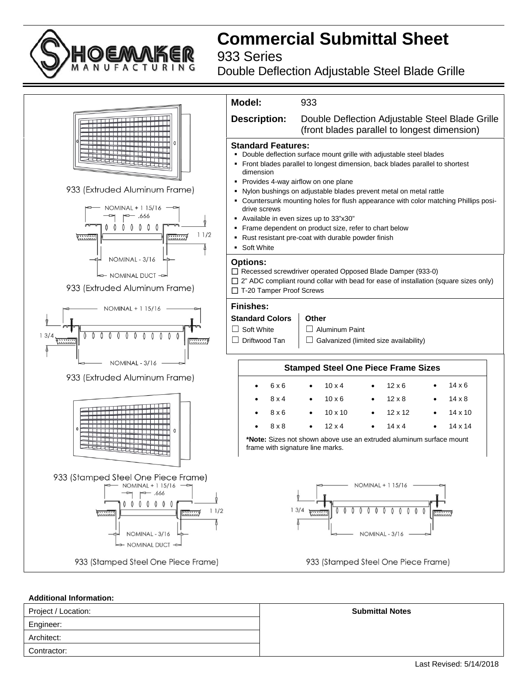## **Commercial Submittal Sheet**

933 Series

Double Deflection Adjustable Steel Blade Grille



### **Additional Information:**

| Project / Location: | <b>Submittal Notes</b> |
|---------------------|------------------------|
| Engineer:           |                        |
| Architect:          |                        |
| Contractor:         |                        |

Last Revised: 5/14/2018